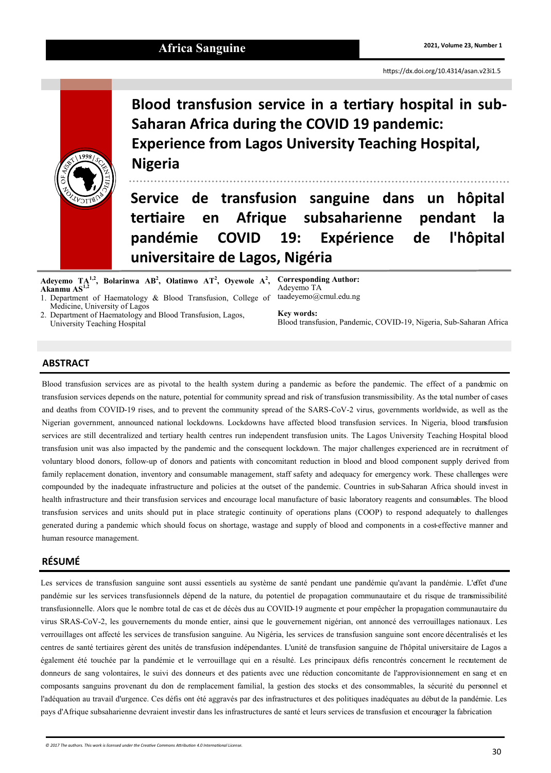

**Blood transfusion service in a tertiary hospital in sub-Saharan Africa during the COVID 19 pandemic: Experience from Lagos University Teaching Hospital, Nigeria**

**Service de transfusion sanguine dans un hôpital tertiaire en Afrique subsaharienne pendant la pandémie COVID 19: Expérience de l'hôpital universitaire de Lagos, Nigéria**

**Adeyemo TA1,2, Bolarinwa AB<sup>2</sup> , Olatinwo AT<sup>2</sup> , Oyewole A<sup>2</sup> , Corresponding Author: Akanmu AS1,2**

1. Department of Haematology & Blood Transfusion, College of Medicine, University of Lagos

2. Department of Haematology and Blood Transfusion, Lagos, University Teaching Hospital

Adeyemo TA taadeyemo@cmul.edu.ng

**Key words:** Blood transfusion, Pandemic, COVID-19, Nigeria, Sub-Saharan Africa

# **ABSTRACT**

Blood transfusion services are as pivotal to the health system during a pandemic as before the pandemic. The effect of a pandemic on transfusion services depends on the nature, potential for community spread and risk of transfusion transmissibility. As the total number of cases and deaths from COVID-19 rises, and to prevent the community spread of the SARS‐CoV‐2 virus, governments worldwide, as well as the Nigerian government, announced national lockdowns. Lockdowns have affected blood transfusion services. In Nigeria, blood transfusion services are still decentralized and tertiary health centres run independent transfusion units. The Lagos University Teaching Hospital blood transfusion unit was also impacted by the pandemic and the consequent lockdown. The major challenges experienced are in recruitment of voluntary blood donors, follow-up of donors and patients with concomitant reduction in blood and blood component supply derived from family replacement donation, inventory and consumable management, staff safety and adequacy for emergency work. These challenges were compounded by the inadequate infrastructure and policies at the outset of the pandemic. Countries in sub-Saharan Africa should invest in health infrastructure and their transfusion services and encourage local manufacture of basic laboratory reagents and consumables. The blood transfusion services and units should put in place strategic continuity of operations plans (COOP) to respond adequately to challenges generated during a pandemic which should focus on shortage, wastage and supply of blood and components in a cost-effective manner and human resource management.

## **RÉSUMÉ**

Les services de transfusion sanguine sont aussi essentiels au système de santé pendant une pandémie qu'avant la pandémie. L'effet d'une pandémie sur les services transfusionnels dépend de la nature, du potentiel de propagation communautaire et du risque de transmissibilité transfusionnelle. Alors que le nombre total de cas et de décès dus au COVID-19 augmente et pour empêcher la propagation communautaire du virus SRAS-CoV-2, les gouvernements du monde entier, ainsi que le gouvernement nigérian, ont annoncé des verrouillages nationaux. Les verrouillages ont affecté les services de transfusion sanguine. Au Nigéria, les services de transfusion sanguine sont encore décentralisés et les centres de santé tertiaires gèrent des unités de transfusion indépendantes. L'unité de transfusion sanguine de l'hôpital universitaire de Lagos a également été touchée par la pandémie et le verrouillage qui en a résulté. Les principaux défis rencontrés concernent le recrutement de donneurs de sang volontaires, le suivi des donneurs et des patients avec une réduction concomitante de l'approvisionnement en sang et en composants sanguins provenant du don de remplacement familial, la gestion des stocks et des consommables, la sécurité du personnel et l'adéquation au travail d'urgence. Ces défis ont été aggravés par des infrastructures et des politiques inadéquates au début de la pandémie. Les pays d'Afrique subsaharienne devraient investir dans les infrastructures de santé et leurs services de transfusion et encourager la fabrication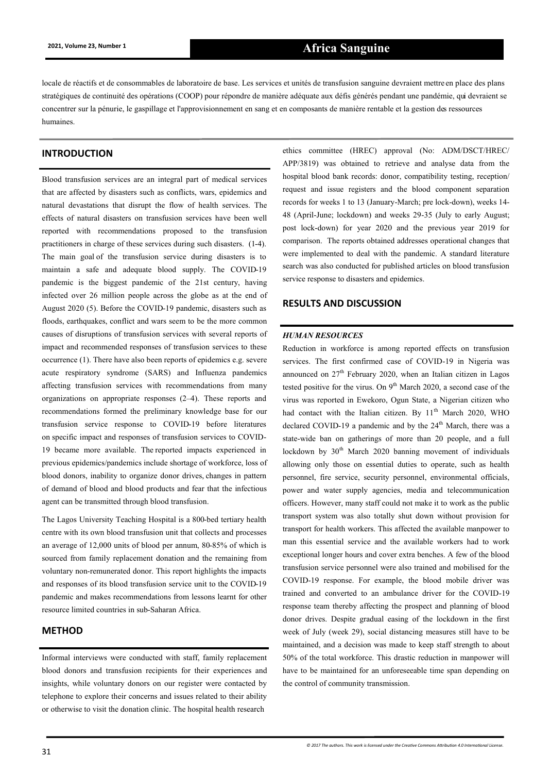locale de réactifs et de consommables de laboratoire de base. Les services et unités de transfusion sanguine devraient mettre en place des plans stratégiques de continuité des opérations (COOP) pour répondre de manière adéquate aux défis générés pendant une pandémie, qui devraient se concentrer sur la pénurie, le gaspillage et l'approvisionnement en sang et en composants de manière rentable et la gestion des ressources humaines.

# **INTRODUCTION**

Blood transfusion services are an integral part of medical services that are affected by disasters such as conflicts, wars, epidemics and natural devastations that disrupt the flow of health services. The effects of natural disasters on transfusion services have been well reported with recommendations proposed to the transfusion practitioners in charge of these services during such disasters. (1-4). The main goal of the transfusion service during disasters is to maintain a safe and adequate blood supply. The COVID‐19 pandemic is the biggest pandemic of the 21st century, having infected over 26 million people across the globe as at the end of August 2020 (5). Before the COVID-19 pandemic, disasters such as floods, earthquakes, conflict and wars seem to be the more common causes of disruptions of transfusion services with several reports of impact and recommended responses of transfusion services to these occurrence (1). There have also been reports of epidemics e.g. severe acute respiratory syndrome (SARS) and Influenza pandemics affecting transfusion services with recommendations from many organizations on appropriate responses (2–4). These reports and recommendations formed the preliminary knowledge base for our transfusion service response to COVID-19 before literatures on specific impact and responses of transfusion services to COVID-19 became more available. The reported impacts experienced in previous epidemics/pandemics include shortage of workforce, loss of blood donors, inability to organize donor drives, changes in pattern of demand of blood and blood products and fear that the infectious agent can be transmitted through blood transfusion.

The Lagos University Teaching Hospital is a 800-bed tertiary health centre with its own blood transfusion unit that collects and processes an average of 12,000 units of blood per annum, 80-85% of which is sourced from family replacement donation and the remaining from voluntary non-remunerated donor. This report highlights the impacts and responses of its blood transfusion service unit to the COVID-19 pandemic and makes recommendations from lessons learnt for other resource limited countries in sub-Saharan Africa.

## **METHOD**

Informal interviews were conducted with staff, family replacement blood donors and transfusion recipients for their experiences and insights, while voluntary donors on our register were contacted by telephone to explore their concerns and issues related to their ability or otherwise to visit the donation clinic. The hospital health research

ethics committee (HREC) approval (No: ADM/DSCT/HREC/ APP/3819) was obtained to retrieve and analyse data from the hospital blood bank records: donor, compatibility testing, reception/ request and issue registers and the blood component separation records for weeks 1 to 13 (January-March; pre lock-down), weeks 14- 48 (April-June; lockdown) and weeks 29-35 (July to early August; post lock-down) for year 2020 and the previous year 2019 for comparison. The reports obtained addresses operational changes that were implemented to deal with the pandemic. A standard literature search was also conducted for published articles on blood transfusion service response to disasters and epidemics.

#### **RESULTS AND DISCUSSION**

## *HUMAN RESOURCES*

Reduction in workforce is among reported effects on transfusion services. The first confirmed case of COVID-19 in Nigeria was announced on  $27<sup>th</sup>$  February 2020, when an Italian citizen in Lagos tested positive for the virus. On  $9<sup>th</sup>$  March 2020, a second case of the virus was reported in Ewekoro, Ogun State, a Nigerian citizen who had contact with the Italian citizen. By  $11<sup>th</sup>$  March 2020, WHO declared COVID-19 a pandemic and by the  $24<sup>th</sup>$  March, there was a state-wide ban on gatherings of more than 20 people, and a full lockdown by 30<sup>th</sup> March 2020 banning movement of individuals allowing only those on essential duties to operate, such as health personnel, fire service, security personnel, environmental officials, power and water supply agencies, media and telecommunication officers. However, many staff could not make it to work as the public transport system was also totally shut down without provision for transport for health workers. This affected the available manpower to man this essential service and the available workers had to work exceptional longer hours and cover extra benches. A few of the blood transfusion service personnel were also trained and mobilised for the COVID-19 response. For example, the blood mobile driver was trained and converted to an ambulance driver for the COVID-19 response team thereby affecting the prospect and planning of blood donor drives. Despite gradual easing of the lockdown in the first week of July (week 29), social distancing measures still have to be maintained, and a decision was made to keep staff strength to about 50% of the total workforce. This drastic reduction in manpower will have to be maintained for an unforeseeable time span depending on the control of community transmission.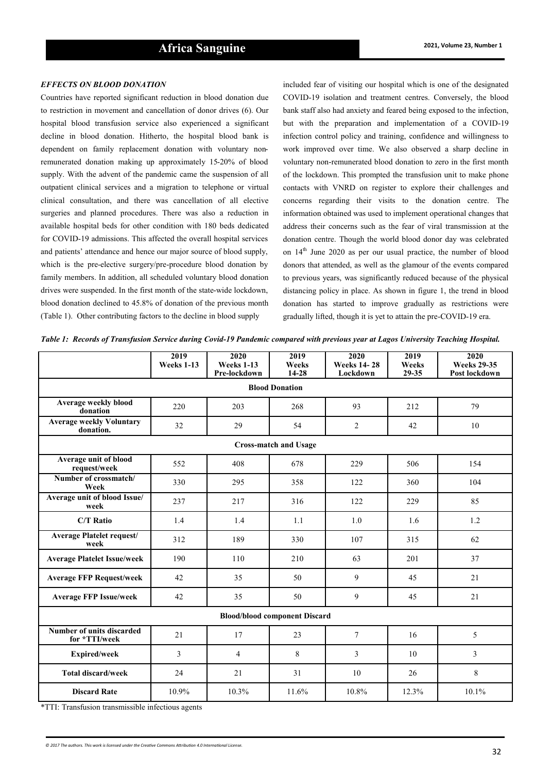#### *EFFECTS ON BLOOD DONATION*

Countries have reported significant reduction in blood donation due to restriction in movement and cancellation of donor drives (6). Our hospital blood transfusion service also experienced a significant decline in blood donation. Hitherto, the hospital blood bank is dependent on family replacement donation with voluntary nonremunerated donation making up approximately 15-20% of blood supply. With the advent of the pandemic came the suspension of all outpatient clinical services and a migration to telephone or virtual clinical consultation, and there was cancellation of all elective surgeries and planned procedures. There was also a reduction in available hospital beds for other condition with 180 beds dedicated for COVID-19 admissions. This affected the overall hospital services and patients' attendance and hence our major source of blood supply, which is the pre-elective surgery/pre-procedure blood donation by family members. In addition, all scheduled voluntary blood donation drives were suspended. In the first month of the state-wide lockdown, blood donation declined to 45.8% of donation of the previous month (Table 1). Other contributing factors to the decline in blood supply

included fear of visiting our hospital which is one of the designated COVID-19 isolation and treatment centres. Conversely, the blood bank staff also had anxiety and feared being exposed to the infection, but with the preparation and implementation of a COVID-19 infection control policy and training, confidence and willingness to work improved over time. We also observed a sharp decline in voluntary non-remunerated blood donation to zero in the first month of the lockdown. This prompted the transfusion unit to make phone contacts with VNRD on register to explore their challenges and concerns regarding their visits to the donation centre. The information obtained was used to implement operational changes that address their concerns such as the fear of viral transmission at the donation centre. Though the world blood donor day was celebrated on  $14<sup>th</sup>$  June 2020 as per our usual practice, the number of blood donors that attended, as well as the glamour of the events compared to previous years, was significantly reduced because of the physical distancing policy in place. As shown in figure 1, the trend in blood donation has started to improve gradually as restrictions were gradually lifted, though it is yet to attain the pre-COVID-19 era.

*Table 1: Records of Transfusion Service during Covid-19 Pandemic compared with previous year at Lagos University Teaching Hospital.*

|                                              | 2019<br>Weeks 1-13 | 2020<br>Weeks 1-13<br>Pre-lockdown | 2019<br>Weeks<br>$14 - 28$ | 2020<br><b>Weeks 14-28</b><br>Lockdown | 2019<br>Weeks<br>29-35 | 2020<br><b>Weeks 29-35</b><br>Post lockdown |
|----------------------------------------------|--------------------|------------------------------------|----------------------------|----------------------------------------|------------------------|---------------------------------------------|
| <b>Blood Donation</b>                        |                    |                                    |                            |                                        |                        |                                             |
| Average weekly blood<br>donation             | 220                | 203                                | 268                        | 93                                     | 212                    | 79                                          |
| <b>Average weekly Voluntary</b><br>donation. | 32                 | 29                                 | 54                         | 2                                      | 42                     | 10                                          |
| <b>Cross-match and Usage</b>                 |                    |                                    |                            |                                        |                        |                                             |
| Average unit of blood<br>request/week        | 552                | 408                                | 678                        | 229                                    | 506                    | 154                                         |
| Number of crossmatch/<br>Week                | 330                | 295                                | 358                        | 122                                    | 360                    | 104                                         |
| Average unit of blood Issue/<br>week         | 237                | 217                                | 316                        | 122                                    | 229                    | 85                                          |
| <b>C/T Ratio</b>                             | 1.4                | 1.4                                | 1.1                        | 1.0                                    | 1.6                    | 1.2                                         |
| <b>Average Platelet request/</b><br>week     | 312                | 189                                | 330                        | 107                                    | 315                    | 62                                          |
| <b>Average Platelet Issue/week</b>           | 190                | 110                                | 210                        | 63                                     | 201                    | 37                                          |
| <b>Average FFP Request/week</b>              | 42                 | 35                                 | 50                         | 9                                      | 45                     | 21                                          |
| <b>Average FFP Issue/week</b>                | 42                 | 35                                 | 50                         | 9                                      | 45                     | 21                                          |
| <b>Blood/blood component Discard</b>         |                    |                                    |                            |                                        |                        |                                             |
| Number of units discarded<br>for *TTI/week   | 21                 | 17                                 | 23                         | 7                                      | 16                     | 5                                           |
| <b>Expired/week</b>                          | 3                  | $\overline{4}$                     | 8                          | 3                                      | 10                     | 3                                           |
| <b>Total discard/week</b>                    | 24                 | 21                                 | 31                         | 10                                     | 26                     | 8                                           |
| <b>Discard Rate</b>                          | 10.9%              | 10.3%                              | 11.6%                      | 10.8%                                  | 12.3%                  | 10.1%                                       |

\*TTI: Transfusion transmissible infectious agents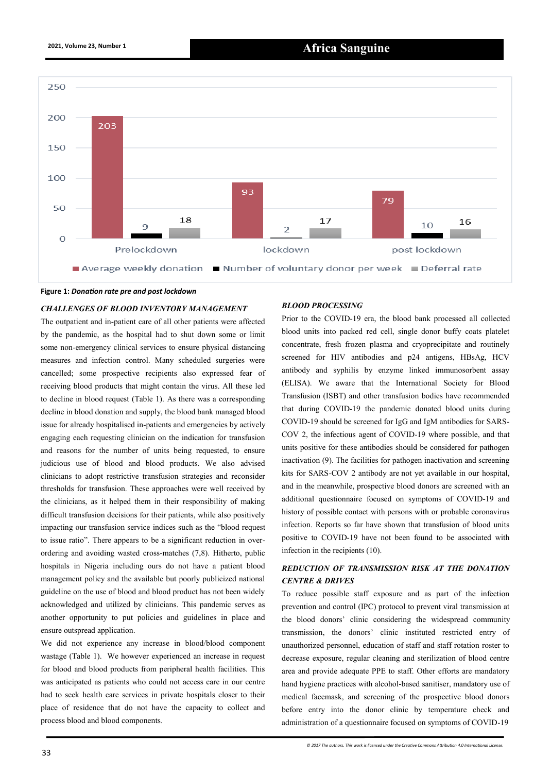

#### **Figure 1:** *Donation rate pre and post lockdown*

#### *CHALLENGES OF BLOOD INVENTORY MANAGEMENT*

The outpatient and in-patient care of all other patients were affected by the pandemic, as the hospital had to shut down some or limit some non-emergency clinical services to ensure physical distancing measures and infection control. Many scheduled surgeries were cancelled; some prospective recipients also expressed fear of receiving blood products that might contain the virus. All these led to decline in blood request (Table 1). As there was a corresponding decline in blood donation and supply, the blood bank managed blood issue for already hospitalised in-patients and emergencies by actively engaging each requesting clinician on the indication for transfusion and reasons for the number of units being requested, to ensure judicious use of blood and blood products. We also advised clinicians to adopt restrictive transfusion strategies and reconsider thresholds for transfusion. These approaches were well received by the clinicians, as it helped them in their responsibility of making difficult transfusion decisions for their patients, while also positively impacting our transfusion service indices such as the "blood request to issue ratio". There appears to be a significant reduction in overordering and avoiding wasted cross-matches (7,8). Hitherto, public hospitals in Nigeria including ours do not have a patient blood management policy and the available but poorly publicized national guideline on the use of blood and blood product has not been widely acknowledged and utilized by clinicians. This pandemic serves as another opportunity to put policies and guidelines in place and ensure outspread application.

We did not experience any increase in blood/blood component wastage (Table 1). We however experienced an increase in request for blood and blood products from peripheral health facilities. This was anticipated as patients who could not access care in our centre had to seek health care services in private hospitals closer to their place of residence that do not have the capacity to collect and process blood and blood components.

#### *BLOOD PROCESSING*

Prior to the COVID-19 era, the blood bank processed all collected blood units into packed red cell, single donor buffy coats platelet concentrate, fresh frozen plasma and cryoprecipitate and routinely screened for HIV antibodies and p24 antigens, HBsAg, HCV antibody and syphilis by enzyme linked immunosorbent assay (ELISA). We aware that the International Society for Blood Transfusion (ISBT) and other transfusion bodies have recommended that during COVID-19 the pandemic donated blood units during COVID-19 should be screened for IgG and IgM antibodies for SARS-COV 2, the infectious agent of COVID-19 where possible, and that units positive for these antibodies should be considered for pathogen inactivation (9). The facilities for pathogen inactivation and screening kits for SARS-COV 2 antibody are not yet available in our hospital, and in the meanwhile, prospective blood donors are screened with an additional questionnaire focused on symptoms of COVID-19 and history of possible contact with persons with or probable coronavirus infection. Reports so far have shown that transfusion of blood units positive to COVID-19 have not been found to be associated with infection in the recipients (10).

# *REDUCTION OF TRANSMISSION RISK AT THE DONATION CENTRE & DRIVES*

To reduce possible staff exposure and as part of the infection prevention and control (IPC) protocol to prevent viral transmission at the blood donors' clinic considering the widespread community transmission, the donors' clinic instituted restricted entry of unauthorized personnel, education of staff and staff rotation roster to decrease exposure, regular cleaning and sterilization of blood centre area and provide adequate PPE to staff. Other efforts are mandatory hand hygiene practices with alcohol-based sanitiser, mandatory use of medical facemask, and screening of the prospective blood donors before entry into the donor clinic by temperature check and administration of a questionnaire focused on symptoms of COVID-19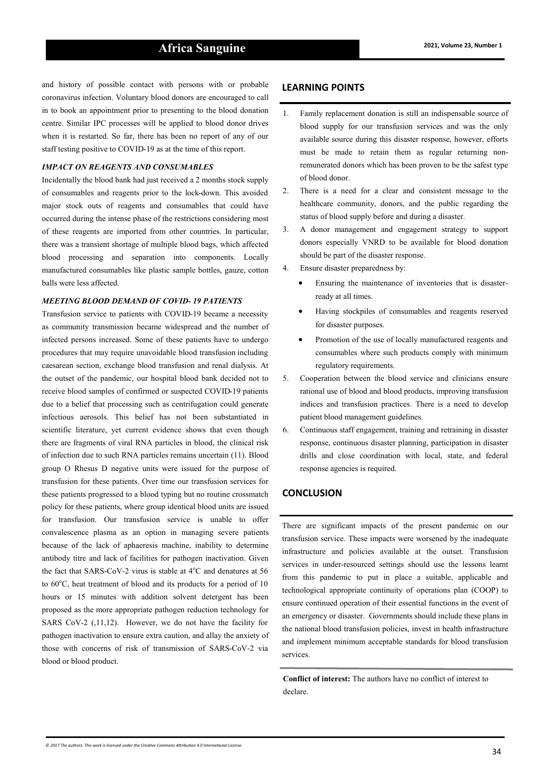# **2021, Volume 23, Number 1 Africa Sanguine**

and history of possible contact with persons with or probable coronavirus infection. Voluntary blood donors are encouraged to call in to book an appointment prior to presenting to the blood donation centre. Similar IPC processes will be applied to blood donor drives when it is restarted. So far, there has been no report of any of our staff testing positive to COVID-19 as at the time of this report.

## *IMPACT ON REAGENTS AND CONSUMABLES*

Incidentally the blood bank had just received a 2 months stock supply of consumables and reagents prior to the lock-down. This avoided major stock outs of reagents and consumables that could have occurred during the intense phase of the restrictions considering most of these reagents are imported from other countries. In particular, there was a transient shortage of multiple blood bags, which affected blood processing and separation into components. Locally manufactured consumables like plastic sample bottles, gauze, cotton balls were less affected.

#### *MEETING BLOOD DEMAND OF COVID- 19 PATIENTS*

Transfusion service to patients with COVID-19 became a necessity as community transmission became widespread and the number of infected persons increased. Some of these patients have to undergo procedures that may require unavoidable blood transfusion including caesarean section, exchange blood transfusion and renal dialysis. At the outset of the pandemic, our hospital blood bank decided not to receive blood samples of confirmed or suspected COVID-19 patients due to a belief that processing such as centrifugation could generate infectious aerosols. This belief has not been substantiated in scientific literature, yet current evidence shows that even though there are fragments of viral RNA particles in blood, the clinical risk of infection due to such RNA particles remains uncertain (11). Blood group O Rhesus D negative units were issued for the purpose of transfusion for these patients. Over time our transfusion services for these patients progressed to a blood typing but no routine crossmatch policy for these patients, where group identical blood units are issued for transfusion. Our transfusion service is unable to offer convalescence plasma as an option in managing severe patients because of the lack of aphaeresis machine, inability to determine antibody titre and lack of facilities for pathogen inactivation. Given the fact that SARS-CoV-2 virus is stable at  $4^{\circ}$ C and denatures at 56 to  $60^{\circ}$ C, heat treatment of blood and its products for a period of 10 hours or 15 minutes with addition solvent detergent has been proposed as the more appropriate pathogen reduction technology for SARS CoV-2 (,11,12). However, we do not have the facility for pathogen inactivation to ensure extra caution, and allay the anxiety of those with concerns of risk of transmission of SARS-CoV-2 via blood or blood product.

## **LEARNING POINTS**

- 1. Family replacement donation is still an indispensable source of blood supply for our transfusion services and was the only available source during this disaster response, however, efforts must be made to retain them as regular returning nonremunerated donors which has been proven to be the safest type of blood donor.
- 2. There is a need for a clear and consistent message to the healthcare community, donors, and the public regarding the status of blood supply before and during a disaster.
- 3. A donor management and engagement strategy to support donors especially VNRD to be available for blood donation should be part of the disaster response.
- 4. Ensure disaster preparedness by:
	- Ensuring the maintenance of inventories that is disasterready at all times.
	- Having stockpiles of consumables and reagents reserved for disaster purposes.
	- Promotion of the use of locally manufactured reagents and consumables where such products comply with minimum regulatory requirements.
- 5. Cooperation between the blood service and clinicians ensure rational use of blood and blood products, improving transfusion indices and transfusion practices. There is a need to develop patient blood management guidelines.
- 6. Continuous staff engagement, training and retraining in disaster response, continuous disaster planning, participation in disaster drills and close coordination with local, state, and federal response agencies is required.

# **CONCLUSION**

There are significant impacts of the present pandemic on our transfusion service. These impacts were worsened by the inadequate infrastructure and policies available at the outset. Transfusion services in under-resourced settings should use the lessons learnt from this pandemic to put in place a suitable, applicable and technological appropriate continuity of operations plan (COOP) to ensure continued operation of their essential functions in the event of an emergency or disaster. Governments should include these plans in the national blood transfusion policies, invest in health infrastructure and implement minimum acceptable standards for blood transfusion services.

**Conflict of interest:** The authors have no conflict of interest to declare.